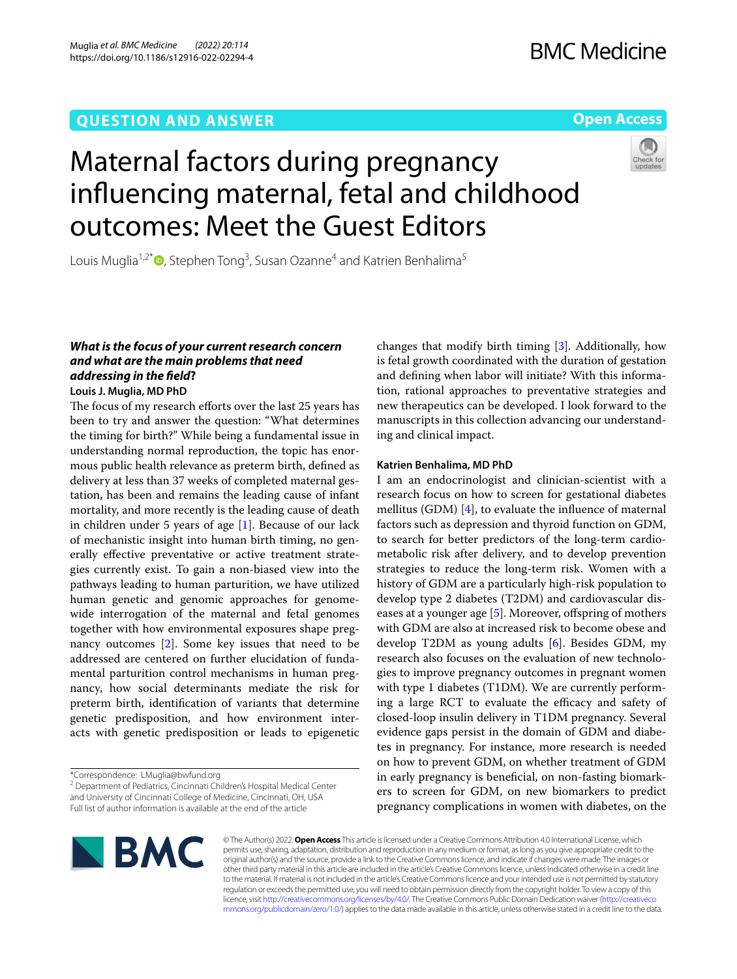# **QUESTION AND ANSWER**

# **Open Access**



# Maternal factors during pregnancy infuencing maternal, fetal and childhood outcomes: Meet the Guest Editors

Louis Muglia<sup>1,2\*</sup>®[,](http://orcid.org/0000-0002-0301-8770) Stephen Tong<sup>3</sup>, Susan Ozanne<sup>4</sup> and Katrien Benhalima<sup>5</sup>

# *What is the focus of your current research concern and what are the main problems that need addressing in the feld***?**

**Louis J. Muglia, MD PhD**

The focus of my research efforts over the last 25 years has been to try and answer the question: "What determines the timing for birth?" While being a fundamental issue in understanding normal reproduction, the topic has enormous public health relevance as preterm birth, defned as delivery at less than 37 weeks of completed maternal gestation, has been and remains the leading cause of infant mortality, and more recently is the leading cause of death in children under 5 years of age [[1\]](#page-1-0). Because of our lack of mechanistic insight into human birth timing, no generally efective preventative or active treatment strategies currently exist. To gain a non-biased view into the pathways leading to human parturition, we have utilized human genetic and genomic approaches for genomewide interrogation of the maternal and fetal genomes together with how environmental exposures shape pregnancy outcomes [\[2](#page-1-1)]. Some key issues that need to be addressed are centered on further elucidation of fundamental parturition control mechanisms in human pregnancy, how social determinants mediate the risk for preterm birth, identifcation of variants that determine genetic predisposition, and how environment interacts with genetic predisposition or leads to epigenetic

<sup>2</sup> Department of Pediatrics, Cincinnati Children's Hospital Medical Center and University of Cincinnati College of Medicine, Cincinnati, OH, USA Full list of author information is available at the end of the article

changes that modify birth timing [\[3](#page-1-2)]. Additionally, how is fetal growth coordinated with the duration of gestation and defning when labor will initiate? With this information, rational approaches to preventative strategies and new therapeutics can be developed. I look forward to the manuscripts in this collection advancing our understanding and clinical impact.

# **Katrien Benhalima, MD PhD**

I am an endocrinologist and clinician-scientist with a research focus on how to screen for gestational diabetes mellitus (GDM) [[4\]](#page-1-3), to evaluate the infuence of maternal factors such as depression and thyroid function on GDM, to search for better predictors of the long-term cardiometabolic risk after delivery, and to develop prevention strategies to reduce the long-term risk. Women with a history of GDM are a particularly high-risk population to develop type 2 diabetes (T2DM) and cardiovascular diseases at a younger age  $[5]$ . Moreover, offspring of mothers with GDM are also at increased risk to become obese and develop T2DM as young adults [[6\]](#page-1-5). Besides GDM, my research also focuses on the evaluation of new technologies to improve pregnancy outcomes in pregnant women with type 1 diabetes (T1DM). We are currently performing a large RCT to evaluate the efficacy and safety of closed-loop insulin delivery in T1DM pregnancy. Several evidence gaps persist in the domain of GDM and diabetes in pregnancy. For instance, more research is needed on how to prevent GDM, on whether treatment of GDM in early pregnancy is benefcial, on non-fasting biomarkers to screen for GDM, on new biomarkers to predict pregnancy complications in women with diabetes, on the



© The Author(s) 2022. **Open Access** This article is licensed under a Creative Commons Attribution 4.0 International License, which permits use, sharing, adaptation, distribution and reproduction in any medium or format, as long as you give appropriate credit to the original author(s) and the source, provide a link to the Creative Commons licence, and indicate if changes were made. The images or other third party material in this article are included in the article's Creative Commons licence, unless indicated otherwise in a credit line to the material. If material is not included in the article's Creative Commons licence and your intended use is not permitted by statutory regulation or exceeds the permitted use, you will need to obtain permission directly from the copyright holder. To view a copy of this licence, visit [http://creativecommons.org/licenses/by/4.0/.](http://creativecommons.org/licenses/by/4.0/) The Creative Commons Public Domain Dedication waiver ([http://creativeco](http://creativecommons.org/publicdomain/zero/1.0/) [mmons.org/publicdomain/zero/1.0/](http://creativecommons.org/publicdomain/zero/1.0/)) applies to the data made available in this article, unless otherwise stated in a credit line to the data.

<sup>\*</sup>Correspondence: LMuglia@bwfund.org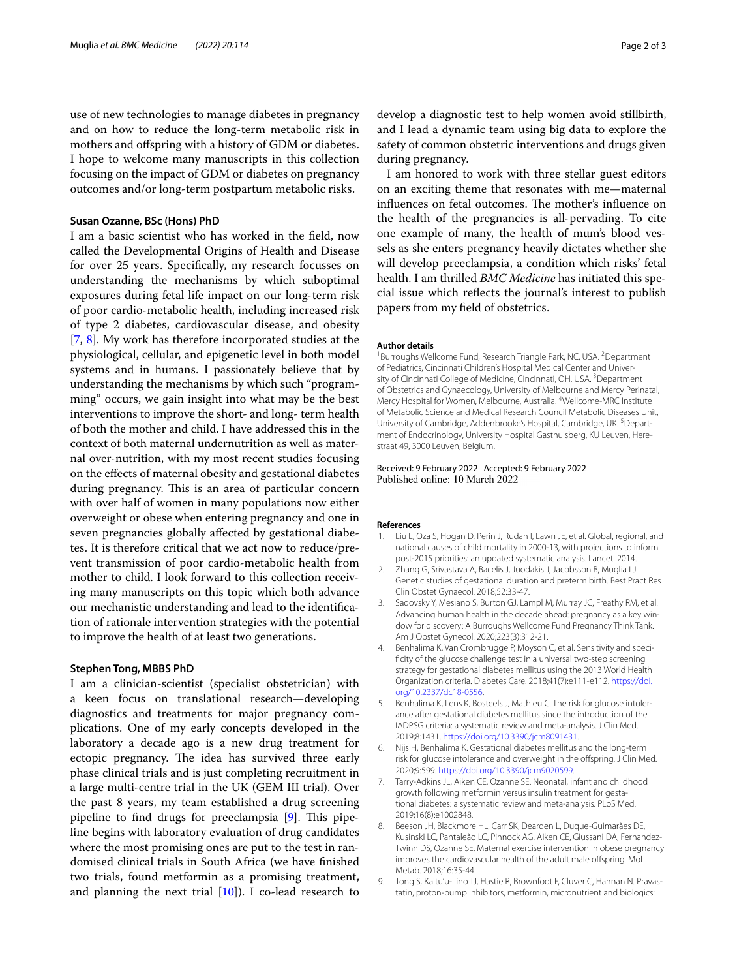use of new technologies to manage diabetes in pregnancy and on how to reduce the long-term metabolic risk in mothers and ofspring with a history of GDM or diabetes. I hope to welcome many manuscripts in this collection focusing on the impact of GDM or diabetes on pregnancy outcomes and/or long-term postpartum metabolic risks.

## **Susan Ozanne, BSc (Hons) PhD**

I am a basic scientist who has worked in the feld, now called the Developmental Origins of Health and Disease for over 25 years. Specifcally, my research focusses on understanding the mechanisms by which suboptimal exposures during fetal life impact on our long-term risk of poor cardio-metabolic health, including increased risk of type 2 diabetes, cardiovascular disease, and obesity [[7,](#page-1-6) [8\]](#page-1-7). My work has therefore incorporated studies at the physiological, cellular, and epigenetic level in both model systems and in humans. I passionately believe that by understanding the mechanisms by which such "programming" occurs, we gain insight into what may be the best interventions to improve the short- and long- term health of both the mother and child. I have addressed this in the context of both maternal undernutrition as well as maternal over-nutrition, with my most recent studies focusing on the efects of maternal obesity and gestational diabetes during pregnancy. This is an area of particular concern with over half of women in many populations now either overweight or obese when entering pregnancy and one in seven pregnancies globally afected by gestational diabetes. It is therefore critical that we act now to reduce/prevent transmission of poor cardio-metabolic health from mother to child. I look forward to this collection receiving many manuscripts on this topic which both advance our mechanistic understanding and lead to the identifcation of rationale intervention strategies with the potential to improve the health of at least two generations.

# **Stephen Tong, MBBS PhD**

I am a clinician-scientist (specialist obstetrician) with a keen focus on translational research—developing diagnostics and treatments for major pregnancy complications. One of my early concepts developed in the laboratory a decade ago is a new drug treatment for ectopic pregnancy. The idea has survived three early phase clinical trials and is just completing recruitment in a large multi-centre trial in the UK (GEM III trial). Over the past 8 years, my team established a drug screening pipeline to find drugs for preeclampsia  $[9]$  $[9]$  $[9]$ . This pipeline begins with laboratory evaluation of drug candidates where the most promising ones are put to the test in randomised clinical trials in South Africa (we have fnished two trials, found metformin as a promising treatment, and planning the next trial  $[10]$  $[10]$ ). I co-lead research to develop a diagnostic test to help women avoid stillbirth, and I lead a dynamic team using big data to explore the safety of common obstetric interventions and drugs given during pregnancy.

I am honored to work with three stellar guest editors on an exciting theme that resonates with me—maternal influences on fetal outcomes. The mother's influence on the health of the pregnancies is all-pervading. To cite one example of many, the health of mum's blood vessels as she enters pregnancy heavily dictates whether she will develop preeclampsia, a condition which risks' fetal health. I am thrilled *BMC Medicine* has initiated this special issue which refects the journal's interest to publish papers from my feld of obstetrics.

#### **Author details**

<sup>1</sup> Burroughs Wellcome Fund, Research Triangle Park, NC, USA. <sup>2</sup> Department of Pediatrics, Cincinnati Children's Hospital Medical Center and University of Cincinnati College of Medicine, Cincinnati, OH, USA.<sup>3</sup> Department of Obstetrics and Gynaecology, University of Melbourne and Mercy Perinatal, Mercy Hospital for Women, Melbourne, Australia. <sup>4</sup>Wellcome-MRC Institute of Metabolic Science and Medical Research Council Metabolic Diseases Unit, University of Cambridge, Addenbrooke's Hospital, Cambridge, UK. <sup>5</sup>Department of Endocrinology, University Hospital Gasthuisberg, KU Leuven, Herestraat 49, 3000 Leuven, Belgium.

# Received: 9 February 2022 Accepted: 9 February 2022<br>Published online: 10 March 2022

#### **References**

- <span id="page-1-0"></span>1. Liu L, Oza S, Hogan D, Perin J, Rudan I, Lawn JE, et al. Global, regional, and national causes of child mortality in 2000-13, with projections to inform post-2015 priorities: an updated systematic analysis. Lancet. 2014.
- <span id="page-1-1"></span>2. Zhang G, Srivastava A, Bacelis J, Juodakis J, Jacobsson B, Muglia LJ. Genetic studies of gestational duration and preterm birth. Best Pract Res Clin Obstet Gynaecol. 2018;52:33-47.
- <span id="page-1-2"></span>3. Sadovsky Y, Mesiano S, Burton GJ, Lampl M, Murray JC, Freathy RM, et al. Advancing human health in the decade ahead: pregnancy as a key window for discovery: A Burroughs Wellcome Fund Pregnancy Think Tank. Am J Obstet Gynecol. 2020;223(3):312-21.
- <span id="page-1-3"></span>4. Benhalima K, Van Crombrugge P, Moyson C, et al. Sensitivity and specifcity of the glucose challenge test in a universal two-step screening strategy for gestational diabetes mellitus using the 2013 World Health Organization criteria. Diabetes Care. 2018;41(7):e111-e112. [https://doi.](https://doi.org/10.2337/dc18-0556) [org/10.2337/dc18-0556](https://doi.org/10.2337/dc18-0556).
- <span id="page-1-4"></span>5. Benhalima K, Lens K, Bosteels J, Mathieu C. The risk for glucose intolerance after gestational diabetes mellitus since the introduction of the IADPSG criteria: a systematic review and meta-analysis. J Clin Med. 2019;8:1431. [https://doi.org/10.3390/jcm8091431.](https://doi.org/10.3390/jcm8091431)
- <span id="page-1-5"></span>6. Nijs H, Benhalima K. Gestational diabetes mellitus and the long-term risk for glucose intolerance and overweight in the ofspring. J Clin Med. 2020;9:599. <https://doi.org/10.3390/jcm9020599>.
- <span id="page-1-6"></span>7. Tarry-Adkins JL, Aiken CE, Ozanne SE. Neonatal, infant and childhood growth following metformin versus insulin treatment for gestational diabetes: a systematic review and meta-analysis. PLoS Med. 2019;16(8):e1002848.
- <span id="page-1-7"></span>8. Beeson JH, Blackmore HL, Carr SK, Dearden L, Duque-Guimarães DE, Kusinski LC, Pantaleão LC, Pinnock AG, Aiken CE, Giussani DA, Fernandez-Twinn DS, Ozanne SE. Maternal exercise intervention in obese pregnancy improves the cardiovascular health of the adult male ofspring. Mol Metab. 2018;16:35-44.
- <span id="page-1-8"></span>9. Tong S, Kaitu'u-Lino TJ, Hastie R, Brownfoot F, Cluver C, Hannan N. Pravastatin, proton-pump inhibitors, metformin, micronutrient and biologics: